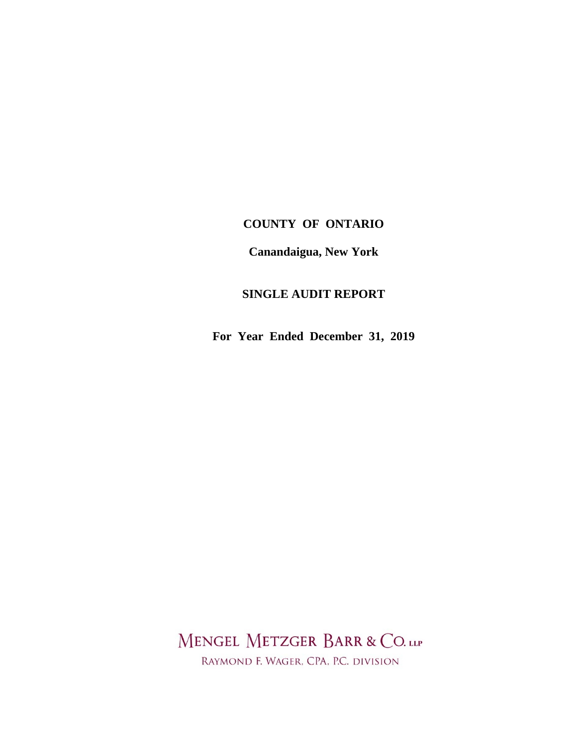# **COUNTY OF ONTARIO**

**Canandaigua, New York**

# **SINGLE AUDIT REPORT**

**For Year Ended December 31, 2019**

MENGEL METZGER BARR & CO. LLP

RAYMOND F. WAGER, CPA, P.C. DIVISION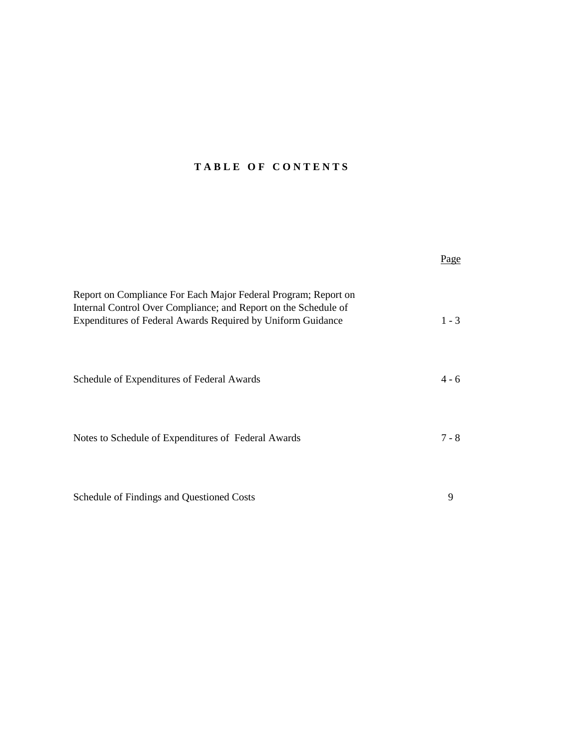# **T A B L E O F C O N T E N T S**

|                                                                                                                                                                                                  | Page    |
|--------------------------------------------------------------------------------------------------------------------------------------------------------------------------------------------------|---------|
| Report on Compliance For Each Major Federal Program; Report on<br>Internal Control Over Compliance; and Report on the Schedule of<br>Expenditures of Federal Awards Required by Uniform Guidance | $1 - 3$ |
| Schedule of Expenditures of Federal Awards                                                                                                                                                       | $4 - 6$ |
| Notes to Schedule of Expenditures of Federal Awards                                                                                                                                              | $7 - 8$ |
| Schedule of Findings and Questioned Costs                                                                                                                                                        | 9       |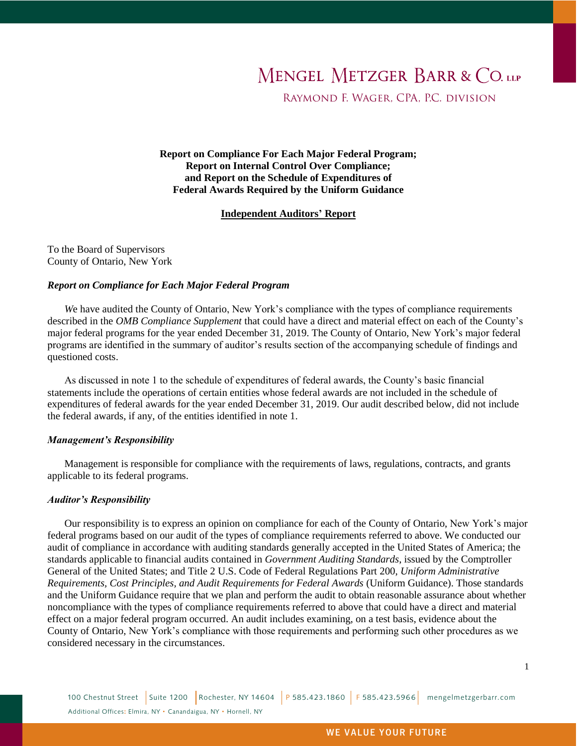# MENGEL METZGER BARR & CO. LLP

### Raymond F. Wager, CPA, P.C. division

**Report on Compliance For Each Major Federal Program; Report on Internal Control Over Compliance; and Report on the Schedule of Expenditures of Federal Awards Required by the Uniform Guidance**

## **Independent Auditors' Report**

To the Board of Supervisors County of Ontario, New York

#### *Report on Compliance for Each Major Federal Program*

*W*e have audited the County of Ontario, New York's compliance with the types of compliance requirements described in the *OMB Compliance Supplement* that could have a direct and material effect on each of the County's major federal programs for the year ended December 31, 2019. The County of Ontario, New York's major federal programs are identified in the summary of auditor's results section of the accompanying schedule of findings and questioned costs.

As discussed in note 1 to the schedule of expenditures of federal awards, the County's basic financial statements include the operations of certain entities whose federal awards are not included in the schedule of expenditures of federal awards for the year ended December 31, 2019. Our audit described below, did not include the federal awards, if any, of the entities identified in note 1.

#### *Management's Responsibility*

Management is responsible for compliance with the requirements of laws, regulations, contracts, and grants applicable to its federal programs.

#### *Auditor's Responsibility*

Our responsibility is to express an opinion on compliance for each of the County of Ontario, New York's major federal programs based on our audit of the types of compliance requirements referred to above. We conducted our audit of compliance in accordance with auditing standards generally accepted in the United States of America; the standards applicable to financial audits contained in *Government Auditing Standards*, issued by the Comptroller General of the United States; and Title 2 U.S. Code of Federal Regulations Part 200, *Uniform Administrative Requirements, Cost Principles, and Audit Requirements for Federal Awards* (Uniform Guidance). Those standards and the Uniform Guidance require that we plan and perform the audit to obtain reasonable assurance about whether noncompliance with the types of compliance requirements referred to above that could have a direct and material effect on a major federal program occurred. An audit includes examining, on a test basis, evidence about the County of Ontario, New York's compliance with those requirements and performing such other procedures as we considered necessary in the circumstances.

100 Chestnut Street Suite 1200 Rochester, NY 14604 P 585.423.1860 F 585.423.5966 mengelmetzgerbarr.com Additional Offices**:** Elmira, NY • Canandaigua, NY • Hornell, NY

1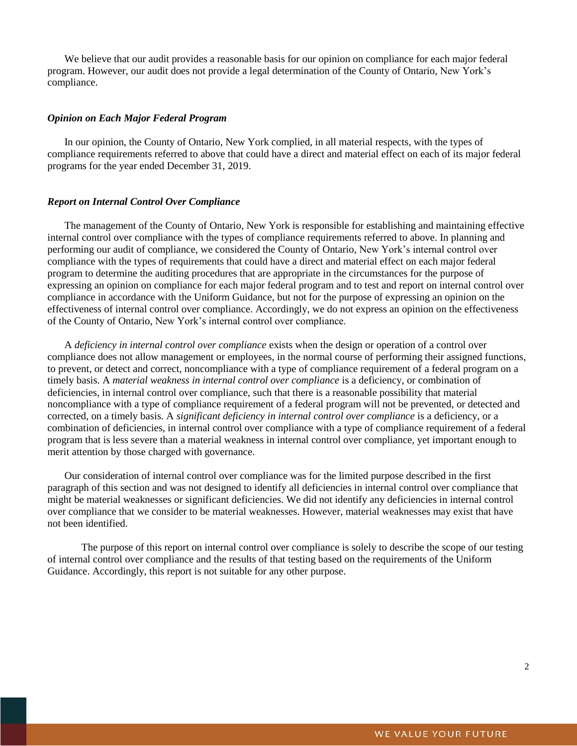We believe that our audit provides a reasonable basis for our opinion on compliance for each major federal program. However, our audit does not provide a legal determination of the County of Ontario, New York's compliance.

#### *Opinion on Each Major Federal Program*

In our opinion, the County of Ontario, New York complied, in all material respects, with the types of compliance requirements referred to above that could have a direct and material effect on each of its major federal programs for the year ended December 31, 2019.

#### *Report on Internal Control Over Compliance*

The management of the County of Ontario, New York is responsible for establishing and maintaining effective internal control over compliance with the types of compliance requirements referred to above. In planning and performing our audit of compliance, we considered the County of Ontario, New York's internal control over compliance with the types of requirements that could have a direct and material effect on each major federal program to determine the auditing procedures that are appropriate in the circumstances for the purpose of expressing an opinion on compliance for each major federal program and to test and report on internal control over compliance in accordance with the Uniform Guidance, but not for the purpose of expressing an opinion on the effectiveness of internal control over compliance. Accordingly, we do not express an opinion on the effectiveness of the County of Ontario, New York's internal control over compliance.

A *deficiency in internal control over compliance* exists when the design or operation of a control over compliance does not allow management or employees, in the normal course of performing their assigned functions, to prevent, or detect and correct, noncompliance with a type of compliance requirement of a federal program on a timely basis. A *material weakness in internal control over compliance* is a deficiency, or combination of deficiencies, in internal control over compliance, such that there is a reasonable possibility that material noncompliance with a type of compliance requirement of a federal program will not be prevented, or detected and corrected, on a timely basis. A *significant deficiency in internal control over compliance* is a deficiency, or a combination of deficiencies, in internal control over compliance with a type of compliance requirement of a federal program that is less severe than a material weakness in internal control over compliance, yet important enough to merit attention by those charged with governance.

Our consideration of internal control over compliance was for the limited purpose described in the first paragraph of this section and was not designed to identify all deficiencies in internal control over compliance that might be material weaknesses or significant deficiencies. We did not identify any deficiencies in internal control over compliance that we consider to be material weaknesses. However, material weaknesses may exist that have not been identified.

The purpose of this report on internal control over compliance is solely to describe the scope of our testing of internal control over compliance and the results of that testing based on the requirements of the Uniform Guidance. Accordingly, this report is not suitable for any other purpose.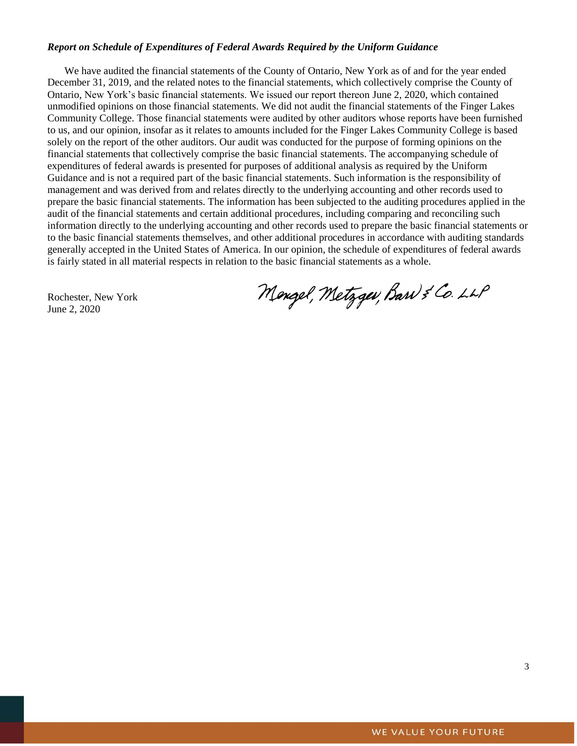#### *Report on Schedule of Expenditures of Federal Awards Required by the Uniform Guidance*

We have audited the financial statements of the County of Ontario, New York as of and for the year ended December 31, 2019, and the related notes to the financial statements, which collectively comprise the County of Ontario, New York's basic financial statements. We issued our report thereon June 2, 2020, which contained unmodified opinions on those financial statements. We did not audit the financial statements of the Finger Lakes Community College. Those financial statements were audited by other auditors whose reports have been furnished to us, and our opinion, insofar as it relates to amounts included for the Finger Lakes Community College is based solely on the report of the other auditors. Our audit was conducted for the purpose of forming opinions on the financial statements that collectively comprise the basic financial statements. The accompanying schedule of expenditures of federal awards is presented for purposes of additional analysis as required by the Uniform Guidance and is not a required part of the basic financial statements. Such information is the responsibility of management and was derived from and relates directly to the underlying accounting and other records used to prepare the basic financial statements. The information has been subjected to the auditing procedures applied in the audit of the financial statements and certain additional procedures, including comparing and reconciling such information directly to the underlying accounting and other records used to prepare the basic financial statements or to the basic financial statements themselves, and other additional procedures in accordance with auditing standards generally accepted in the United States of America. In our opinion, the schedule of expenditures of federal awards is fairly stated in all material respects in relation to the basic financial statements as a whole.

Rochester, New York June 2, 2020

Mengel, Metzgev, Barr) & Co. LLP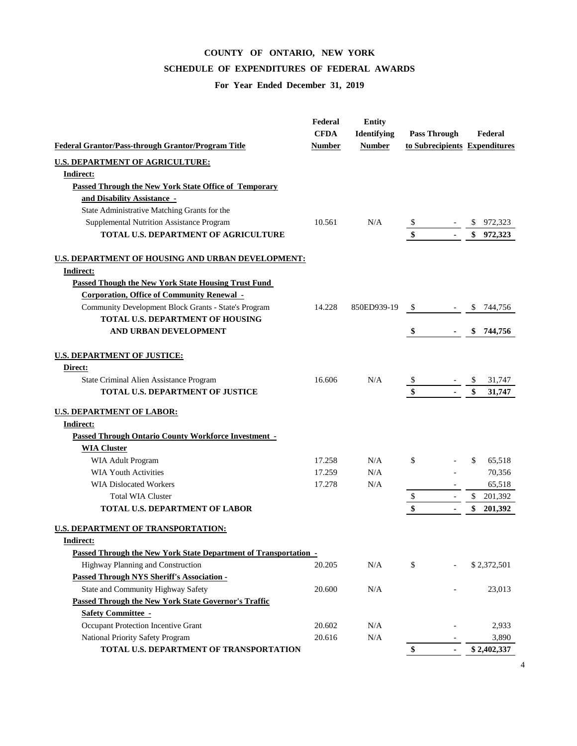## **COUNTY OF ONTARIO, NEW YORK**

## **SCHEDULE OF EXPENDITURES OF FEDERAL AWARDS**

**For Year Ended December 31, 2019**

|                                                                                | Federal       | <b>Entity</b> |                               |                |
|--------------------------------------------------------------------------------|---------------|---------------|-------------------------------|----------------|
|                                                                                | <b>CFDA</b>   | Identifying   | <b>Pass Through</b>           | Federal        |
| <b>Federal Grantor/Pass-through Grantor/Program Title</b>                      | <b>Number</b> | <b>Number</b> | to Subrecipients Expenditures |                |
| <b>U.S. DEPARTMENT OF AGRICULTURE:</b>                                         |               |               |                               |                |
| Indirect:                                                                      |               |               |                               |                |
| <b>Passed Through the New York State Office of Temporary</b>                   |               |               |                               |                |
| and Disability Assistance -                                                    |               |               |                               |                |
| State Administrative Matching Grants for the                                   |               |               |                               |                |
| Supplemental Nutrition Assistance Program                                      | 10.561        | N/A           |                               | 972,323        |
| <b>TOTAL U.S. DEPARTMENT OF AGRICULTURE</b>                                    |               |               |                               | \$<br>972,323  |
| U.S. DEPARTMENT OF HOUSING AND URBAN DEVELOPMENT:                              |               |               |                               |                |
| Indirect:                                                                      |               |               |                               |                |
| <b>Passed Though the New York State Housing Trust Fund</b>                     |               |               |                               |                |
| <b>Corporation, Office of Community Renewal -</b>                              |               |               |                               |                |
| Community Development Block Grants - State's Program                           | 14.228        | 850ED939-19   | - \$                          | \$.<br>744,756 |
| TOTAL U.S. DEPARTMENT OF HOUSING                                               |               |               |                               |                |
| AND URBAN DEVELOPMENT                                                          |               |               | \$                            | \$744,756      |
|                                                                                |               |               |                               |                |
| <b>U.S. DEPARTMENT OF JUSTICE:</b>                                             |               |               |                               |                |
| Direct:                                                                        |               |               |                               |                |
| State Criminal Alien Assistance Program                                        | 16.606        | N/A           | - \$                          | 31,747<br>\$   |
| <b>TOTAL U.S. DEPARTMENT OF JUSTICE</b>                                        |               |               | \$                            | \$<br>31,747   |
| <b>U.S. DEPARTMENT OF LABOR:</b>                                               |               |               |                               |                |
| Indirect:                                                                      |               |               |                               |                |
| <b>Passed Through Ontario County Workforce Investment -</b>                    |               |               |                               |                |
| <b>WIA Cluster</b>                                                             |               |               |                               |                |
| WIA Adult Program                                                              | 17.258        | N/A           | \$                            | 65,518<br>\$   |
| <b>WIA Youth Activities</b>                                                    | 17.259        | N/A           |                               | 70,356         |
| <b>WIA Dislocated Workers</b>                                                  | 17.278        | N/A           |                               | 65,518         |
| <b>Total WIA Cluster</b>                                                       |               |               | \$                            | \$<br>201,392  |
| TOTAL U.S. DEPARTMENT OF LABOR                                                 |               |               |                               | \$<br>201,392  |
| <b>U.S. DEPARTMENT OF TRANSPORTATION:</b>                                      |               |               |                               |                |
| <b>Indirect:</b>                                                               |               |               |                               |                |
| <u><b>Passed Through the New York State Department of Transportation -</b></u> |               |               |                               |                |
| Highway Planning and Construction                                              | 20.205        | N/A           | \$                            | \$2,372,501    |
| Passed Through NYS Sheriff's Association -                                     |               |               |                               |                |
| State and Community Highway Safety                                             | 20.600        | N/A           |                               | 23,013         |
| <b>Passed Through the New York State Governor's Traffic</b>                    |               |               |                               |                |
| <b>Safety Committee -</b>                                                      |               |               |                               |                |
| Occupant Protection Incentive Grant                                            | 20.602        | N/A           |                               | 2,933          |
| National Priority Safety Program                                               | 20.616        | N/A           |                               | 3,890          |
| TOTAL U.S. DEPARTMENT OF TRANSPORTATION                                        |               |               | \$                            | \$2,402,337    |

4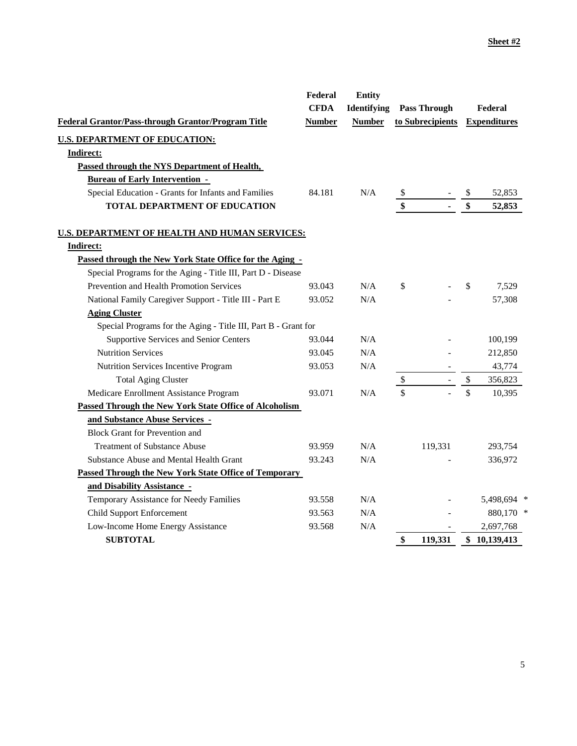|                                                                | Federal       | <b>Entity</b>      |              |                     |                     |  |
|----------------------------------------------------------------|---------------|--------------------|--------------|---------------------|---------------------|--|
|                                                                | <b>CFDA</b>   | <b>Identifying</b> |              | <b>Pass Through</b> | Federal             |  |
| <b>Federal Grantor/Pass-through Grantor/Program Title</b>      | <b>Number</b> | <b>Number</b>      |              | to Subrecipients    | <b>Expenditures</b> |  |
| <b>U.S. DEPARTMENT OF EDUCATION:</b>                           |               |                    |              |                     |                     |  |
| <b>Indirect:</b>                                               |               |                    |              |                     |                     |  |
| Passed through the NYS Department of Health,                   |               |                    |              |                     |                     |  |
| <b>Bureau of Early Intervention -</b>                          |               |                    |              |                     |                     |  |
| Special Education - Grants for Infants and Families            | 84.181        | N/A                | \$           |                     | \$<br>52,853        |  |
| <b>TOTAL DEPARTMENT OF EDUCATION</b>                           |               |                    | \$           |                     | \$<br>52,853        |  |
| U.S. DEPARTMENT OF HEALTH AND HUMAN SERVICES:                  |               |                    |              |                     |                     |  |
| Indirect:                                                      |               |                    |              |                     |                     |  |
| Passed through the New York State Office for the Aging -       |               |                    |              |                     |                     |  |
| Special Programs for the Aging - Title III, Part D - Disease   |               |                    |              |                     |                     |  |
| Prevention and Health Promotion Services                       | 93.043        | N/A                | \$           |                     | \$<br>7,529         |  |
| National Family Caregiver Support - Title III - Part E         | 93.052        | N/A                |              |                     | 57,308              |  |
| <b>Aging Cluster</b>                                           |               |                    |              |                     |                     |  |
| Special Programs for the Aging - Title III, Part B - Grant for |               |                    |              |                     |                     |  |
| Supportive Services and Senior Centers                         | 93.044        | N/A                |              |                     | 100,199             |  |
| <b>Nutrition Services</b>                                      | 93.045        | N/A                |              |                     | 212,850             |  |
| Nutrition Services Incentive Program                           | 93.053        | N/A                |              |                     | 43,774              |  |
| <b>Total Aging Cluster</b>                                     |               |                    | \$           |                     | \$<br>356,823       |  |
| Medicare Enrollment Assistance Program                         | 93.071        | N/A                | $\mathbb{S}$ |                     | \$<br>10,395        |  |
| <b>Passed Through the New York State Office of Alcoholism</b>  |               |                    |              |                     |                     |  |
| and Substance Abuse Services -                                 |               |                    |              |                     |                     |  |
| <b>Block Grant for Prevention and</b>                          |               |                    |              |                     |                     |  |
| <b>Treatment of Substance Abuse</b>                            | 93.959        | N/A                |              | 119,331             | 293,754             |  |
| Substance Abuse and Mental Health Grant                        | 93.243        | N/A                |              |                     | 336,972             |  |
| <b>Passed Through the New York State Office of Temporary</b>   |               |                    |              |                     |                     |  |
| and Disability Assistance -                                    |               |                    |              |                     |                     |  |
| Temporary Assistance for Needy Families                        | 93.558        | N/A                |              |                     | 5,498,694 *         |  |
| <b>Child Support Enforcement</b>                               | 93.563        | N/A                |              |                     | 880,170 *           |  |
| Low-Income Home Energy Assistance                              | 93.568        | N/A                |              |                     | 2,697,768           |  |
| <b>SUBTOTAL</b>                                                |               |                    | \$           | 119,331             | \$10,139,413        |  |
|                                                                |               |                    |              |                     |                     |  |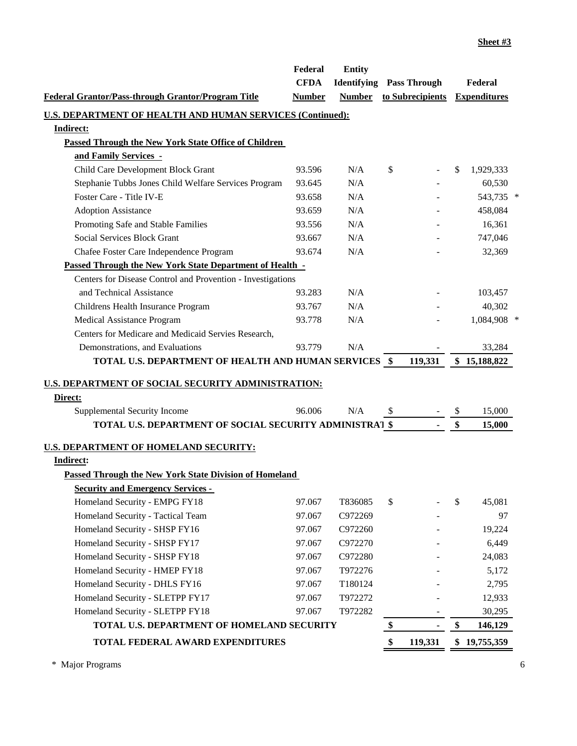|                                                                  | Federal       | <b>Entity</b>      |                                |                     |  |
|------------------------------------------------------------------|---------------|--------------------|--------------------------------|---------------------|--|
|                                                                  | <b>CFDA</b>   | <b>Identifying</b> | <b>Pass Through</b>            | Federal             |  |
| <b>Federal Grantor/Pass-through Grantor/Program Title</b>        | <b>Number</b> | <b>Number</b>      | to Subrecipients               | <b>Expenditures</b> |  |
| <b>U.S. DEPARTMENT OF HEALTH AND HUMAN SERVICES (Continued):</b> |               |                    |                                |                     |  |
| Indirect:                                                        |               |                    |                                |                     |  |
| <b>Passed Through the New York State Office of Children</b>      |               |                    |                                |                     |  |
| and Family Services -                                            |               |                    |                                |                     |  |
| Child Care Development Block Grant                               | 93.596        | N/A                | \$                             | \$<br>1,929,333     |  |
| Stephanie Tubbs Jones Child Welfare Services Program             | 93.645        | N/A                |                                | 60,530              |  |
| Foster Care - Title IV-E                                         | 93.658        | N/A                |                                | 543,735 *           |  |
| <b>Adoption Assistance</b>                                       | 93.659        | N/A                |                                | 458,084             |  |
| Promoting Safe and Stable Families                               | 93.556        | N/A                |                                | 16,361              |  |
| <b>Social Services Block Grant</b>                               | 93.667        | N/A                |                                | 747,046             |  |
| Chafee Foster Care Independence Program                          | 93.674        | N/A                |                                | 32,369              |  |
| Passed Through the New York State Department of Health -         |               |                    |                                |                     |  |
| Centers for Disease Control and Provention - Investigations      |               |                    |                                |                     |  |
| and Technical Assistance                                         | 93.283        | N/A                |                                | 103,457             |  |
| Childrens Health Insurance Program                               | 93.767        | N/A                |                                | 40,302              |  |
| Medical Assistance Program                                       | 93.778        | N/A                |                                | 1,084,908 *         |  |
| Centers for Medicare and Medicaid Servies Research,              |               |                    |                                |                     |  |
| Demonstrations, and Evaluations                                  | 93.779        | N/A                |                                | 33,284              |  |
| TOTAL U.S. DEPARTMENT OF HEALTH AND HUMAN SERVICES \$            |               |                    | 119,331                        | \$15,188,822        |  |
|                                                                  |               |                    |                                |                     |  |
| U.S. DEPARTMENT OF SOCIAL SECURITY ADMINISTRATION:               |               |                    |                                |                     |  |
| Direct:                                                          |               |                    |                                |                     |  |
| Supplemental Security Income                                     | 96.006        | N/A                | \$                             | \$<br>15,000        |  |
| TOTAL U.S. DEPARTMENT OF SOCIAL SECURITY ADMINISTRAT \$          |               |                    |                                | \$<br>15,000        |  |
| U.S. DEPARTMENT OF HOMELAND SECURITY:                            |               |                    |                                |                     |  |
| Indirect:                                                        |               |                    |                                |                     |  |
| <b>Passed Through the New York State Division of Homeland</b>    |               |                    |                                |                     |  |
| <b>Security and Emergency Services -</b>                         |               |                    |                                |                     |  |
| Homeland Security - EMPG FY18                                    | 97.067        | T836085            | \$                             | \$<br>45,081        |  |
| Homeland Security - Tactical Team                                | 97.067        | C972269            |                                | 97                  |  |
| Homeland Security - SHSP FY16                                    | 97.067        | C972260            |                                | 19,224              |  |
| Homeland Security - SHSP FY17                                    | 97.067        | C972270            |                                | 6,449               |  |
| Homeland Security - SHSP FY18                                    | 97.067        | C972280            |                                | 24,083              |  |
| Homeland Security - HMEP FY18                                    | 97.067        | T972276            |                                | 5,172               |  |
| Homeland Security - DHLS FY16                                    | 97.067        | T180124            |                                | 2,795               |  |
| Homeland Security - SLETPP FY17                                  | 97.067        | T972272            |                                | 12,933              |  |
| Homeland Security - SLETPP FY18                                  | 97.067        | T972282            |                                | 30,295              |  |
| TOTAL U.S. DEPARTMENT OF HOMELAND SECURITY                       |               |                    | \$<br>$\overline{\phantom{a}}$ | \$<br>146,129       |  |
| TOTAL FEDERAL AWARD EXPENDITURES                                 |               |                    | \$<br>119,331                  | \$19,755,359        |  |
|                                                                  |               |                    |                                |                     |  |

\* Major Programs 6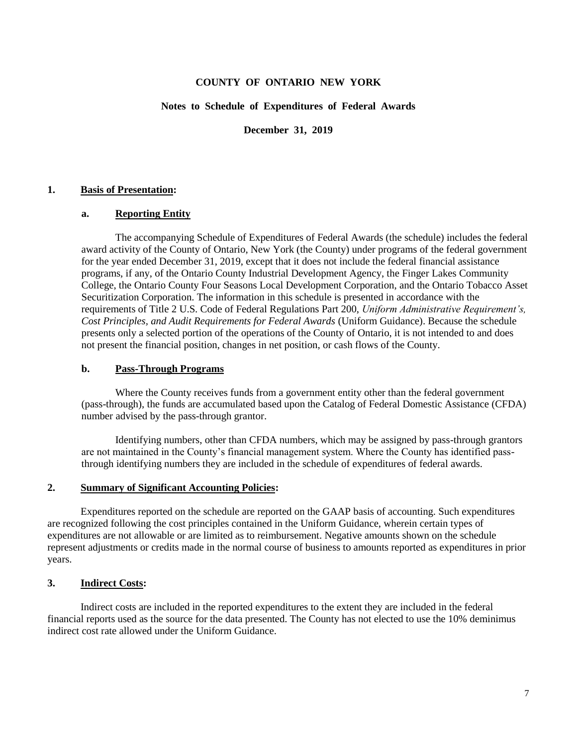## **COUNTY OF ONTARIO NEW YORK**

#### **Notes to Schedule of Expenditures of Federal Awards**

**December 31, 2019**

#### **1. Basis of Presentation:**

#### **a. Reporting Entity**

The accompanying Schedule of Expenditures of Federal Awards (the schedule) includes the federal award activity of the County of Ontario, New York (the County) under programs of the federal government for the year ended December 31, 2019, except that it does not include the federal financial assistance programs, if any, of the Ontario County Industrial Development Agency, the Finger Lakes Community College, the Ontario County Four Seasons Local Development Corporation, and the Ontario Tobacco Asset Securitization Corporation. The information in this schedule is presented in accordance with the requirements of Title 2 U.S. Code of Federal Regulations Part 200, *Uniform Administrative Requirement's, Cost Principles, and Audit Requirements for Federal Awards* (Uniform Guidance). Because the schedule presents only a selected portion of the operations of the County of Ontario, it is not intended to and does not present the financial position, changes in net position, or cash flows of the County.

#### **b. Pass-Through Programs**

Where the County receives funds from a government entity other than the federal government (pass-through), the funds are accumulated based upon the Catalog of Federal Domestic Assistance (CFDA) number advised by the pass-through grantor.

Identifying numbers, other than CFDA numbers, which may be assigned by pass-through grantors are not maintained in the County's financial management system. Where the County has identified passthrough identifying numbers they are included in the schedule of expenditures of federal awards.

#### **2. Summary of Significant Accounting Policies:**

Expenditures reported on the schedule are reported on the GAAP basis of accounting. Such expenditures are recognized following the cost principles contained in the Uniform Guidance, wherein certain types of expenditures are not allowable or are limited as to reimbursement. Negative amounts shown on the schedule represent adjustments or credits made in the normal course of business to amounts reported as expenditures in prior years.

#### **3. Indirect Costs:**

Indirect costs are included in the reported expenditures to the extent they are included in the federal financial reports used as the source for the data presented. The County has not elected to use the 10% deminimus indirect cost rate allowed under the Uniform Guidance.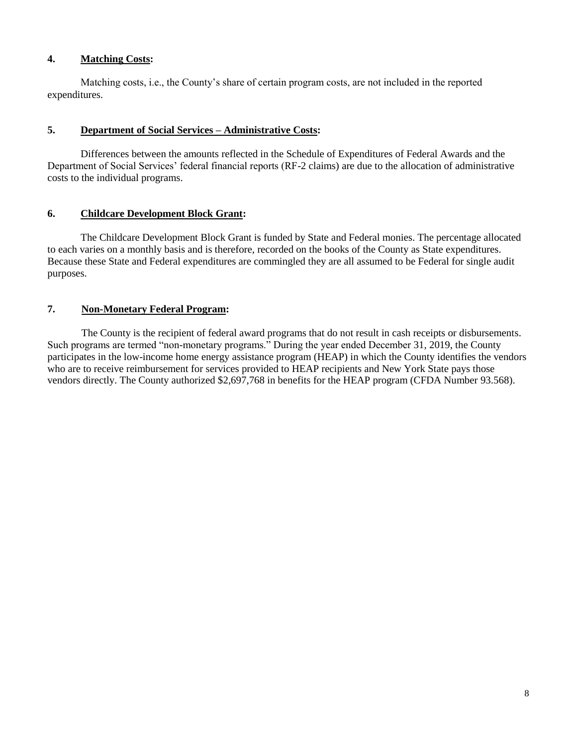## **4. Matching Costs:**

Matching costs, i.e., the County's share of certain program costs, are not included in the reported expenditures.

## **5. Department of Social Services – Administrative Costs:**

Differences between the amounts reflected in the Schedule of Expenditures of Federal Awards and the Department of Social Services' federal financial reports (RF-2 claims) are due to the allocation of administrative costs to the individual programs.

## **6. Childcare Development Block Grant:**

The Childcare Development Block Grant is funded by State and Federal monies. The percentage allocated to each varies on a monthly basis and is therefore, recorded on the books of the County as State expenditures. Because these State and Federal expenditures are commingled they are all assumed to be Federal for single audit purposes.

## **7. Non-Monetary Federal Program:**

The County is the recipient of federal award programs that do not result in cash receipts or disbursements. Such programs are termed "non-monetary programs." During the year ended December 31, 2019, the County participates in the low-income home energy assistance program (HEAP) in which the County identifies the vendors who are to receive reimbursement for services provided to HEAP recipients and New York State pays those vendors directly. The County authorized \$2,697,768 in benefits for the HEAP program (CFDA Number 93.568).